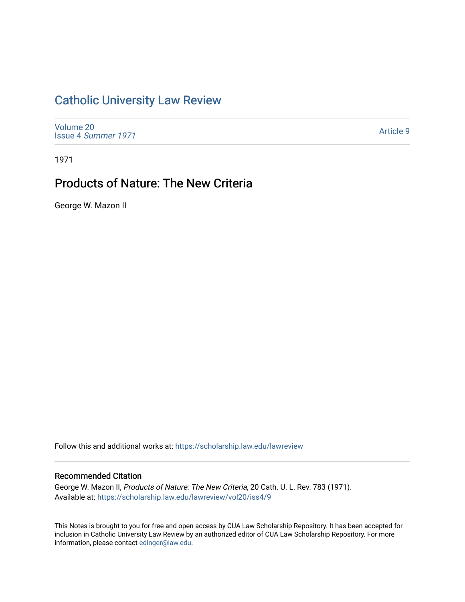# [Catholic University Law Review](https://scholarship.law.edu/lawreview)

[Volume 20](https://scholarship.law.edu/lawreview/vol20) Issue 4 [Summer 1971](https://scholarship.law.edu/lawreview/vol20/iss4) 

[Article 9](https://scholarship.law.edu/lawreview/vol20/iss4/9) 

1971

# Products of Nature: The New Criteria

George W. Mazon II

Follow this and additional works at: [https://scholarship.law.edu/lawreview](https://scholarship.law.edu/lawreview?utm_source=scholarship.law.edu%2Flawreview%2Fvol20%2Fiss4%2F9&utm_medium=PDF&utm_campaign=PDFCoverPages)

### Recommended Citation

George W. Mazon II, Products of Nature: The New Criteria, 20 Cath. U. L. Rev. 783 (1971). Available at: [https://scholarship.law.edu/lawreview/vol20/iss4/9](https://scholarship.law.edu/lawreview/vol20/iss4/9?utm_source=scholarship.law.edu%2Flawreview%2Fvol20%2Fiss4%2F9&utm_medium=PDF&utm_campaign=PDFCoverPages)

This Notes is brought to you for free and open access by CUA Law Scholarship Repository. It has been accepted for inclusion in Catholic University Law Review by an authorized editor of CUA Law Scholarship Repository. For more information, please contact [edinger@law.edu.](mailto:edinger@law.edu)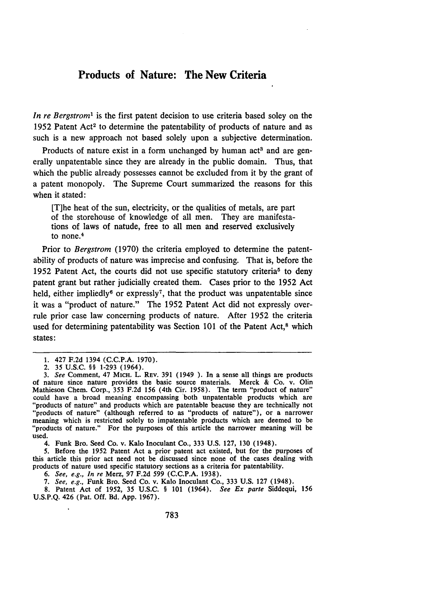## **Products of Nature: The New Criteria**

*In re Bergstrom'* is the first patent decision to use criteria based soley on the 1952 Patent Act<sup>2</sup> to determine the patentability of products of nature and as such is a new approach not based solely upon a subjective determination.

Products of nature exist in a form unchanged by human act<sup>3</sup> and are generally unpatentable since they are already in the public domain. Thus, that which the public already possesses cannot be excluded from it by the grant of a patent monopoly. The Supreme Court summarized the reasons for this when it stated:

[T]he heat of the sun, electricity, or the qualities of metals, are part of the storehouse of knowledge of all men. They are manifestations of laws of natude, free to all men and reserved exclusively to none. 4

Prior to *Bergstrom* (1970) the criteria employed to determine the patentability of products of nature was imprecise and confusing. That is, before the 1952 Patent Act, the courts did not use specific statutory criteria<sup>5</sup> to deny patent grant but rather judicially created them. Cases prior to the 1952 Act held, either impliedly<sup>6</sup> or expressly<sup>7</sup>, that the product was unpatentable since it was a "product of nature." The 1952 Patent Act did not expressly overrule prior case law concerning products of nature. After 1952 the criteria used for determining patentability was Section 101 of the Patent Act,<sup>8</sup> which states:

4. Funk Bro. Seed Co. v. Kalo Inoculant Co., **333 U.S.** 127, **130** (1948).

**5.** Before the **1952** Patent Act a prior patent act existed, but for the purposes of this article this prior act need not be discussed since none of the cases dealing with products of nature used specific statutory sections as a criteria for patentability.

*6. See, e.g., In re* Merz, **97 F.2d 599 (C.C.P.A. 1938).**

**7.** *See, e.g.,* Funk Bro. Seed Co. v. Kalo Inoculant Co., **333 U.S. 127** (1948).

**8.** Patent Act of **1952, 35 U.S.C.** § **101** (1964). *See Ex parte* Siddequi, **156 U.S.P.Q.** 426 (Pat. **Off.** Bd. **App. 1967).**

<sup>1. 427</sup> F.2d 1394 (C.C.P.A. 1970).

<sup>2. 35</sup> U.S.C. §§ 1-293 (1964).

*<sup>3.</sup> See* Comment, 47 MICH. L. REV. 391 (1949 ). In a sense all things are products of nature since nature provides the basic source materials. Merck **&** Co. v. Olin Mathieson Chem. Corp., 353 F.2d 156 (4th Cir. 1958). The term "product of nature" could have a broad meaning encompassing both unpatentable products which are "products of nature" and products which are patentable beacuse they are technically not "products of nature" (although referred to as "products o meaning which is restricted solely to impatentable products which are deemed to be "products of nature." For the purposes of this article the narrower meaning will be used.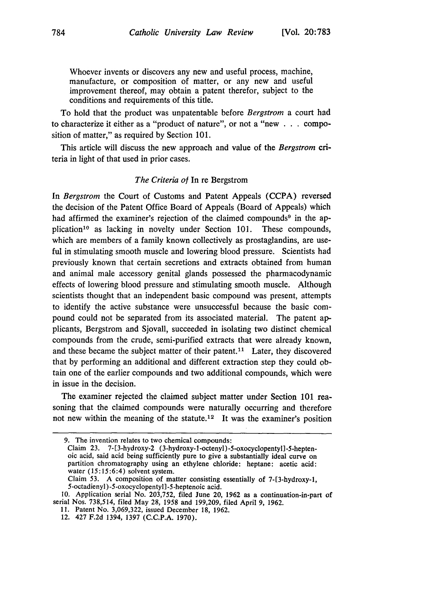Whoever invents or discovers any new and useful process, machine, manufacture, or composition of matter, or any new and useful improvement thereof, may obtain a patent therefor, subject to the conditions and requirements of this title.

To hold that the product was unpatentable before *Bergstrom* a court had to characterize it either as a "product of nature", or not a "new . . . composition of matter," as required by Section 101.

This article will discuss the new approach and value of the *Bergstrom* criteria in light of that used in prior cases.

#### *The Criteria of* In re Bergstrom

In *Bergstrom* the Court of Customs and Patent Appeals (CCPA) reversed the decision of the Patent Office Board of Appeals (Board of Appeals) which had affirmed the examiner's rejection of the claimed compounds<sup>9</sup> in the application<sup>10</sup> as lacking in novelty under Section 101. These compounds, which are members of a family known collectively as prostaglandins, are useful in stimulating smooth muscle and lowering blood pressure. Scientists had previously known that certain secretions and extracts obtained from human and animal male accessory genital glands possessed the pharmacodynamic effects of lowering blood pressure and stimulating smooth muscle. Although scientists thought that an independent basic compound was present, attempts to identify the active substance were unsuccessful because the basic compound could not be separated from its associated material. The patent applicants, Bergstrom and Sjovall, succeeded in isolating two distinct chemical compounds from the crude, semi-purified extracts that were already known, and these became the subject matter of their patent.<sup>11</sup> Later, they discovered that by performing an additional and different extraction step they could obtain one of the earlier compounds and two additional compounds, which were in issue in the decision.

The examiner rejected the claimed subject matter under Section 101 reasoning that the claimed compounds were naturally occurring and therefore not new within the meaning of the statute.<sup>12</sup> It was the examiner's position

<sup>9.</sup> The invention relates to two chemical compounds:

Claim 23. 7-[3-hydroxy-2 (3-hydroxy-l-octenyl)-5-oxocyclopentyl]-5-heptenoic acid, said acid being sufficiently pure to give a substantially ideal curve on partition chromatography using an ethylene chloride: heptane: acetic acid: water (15:15:6:4) solvent system.

Claim 53. A composition of matter consisting essentially of 7-[3-hydroxy-1, 5-octadienyl )-5-oxocyclopentyl]-5-heptenoic acid.

<sup>10.</sup> Application serial No. 203,752, filed June 20, 1962 as a continuation-in-part of serial Nos. 738,514, filed May 28, 1958 and 199,209, filed April 9, 1962.

<sup>11.</sup> Patent No. 3,069,322, issued December 18, 1962.

<sup>12. 427</sup> F.2d 1394, 1397 (C.C.P.A. 1970).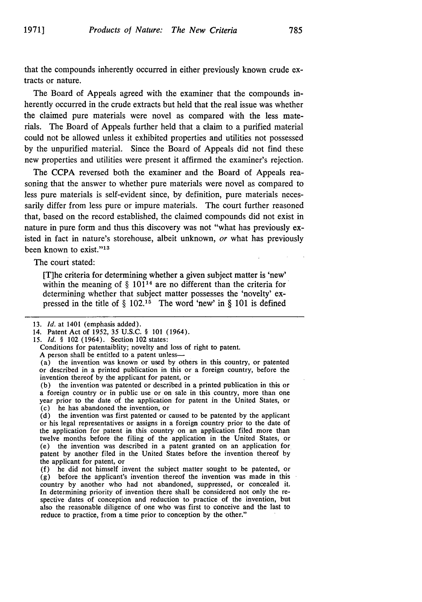that the compounds inherently occurred in either previously known crude extracts or nature.

The Board of Appeals agreed with the examiner that the compounds inherently occurred in the crude extracts but held that the real issue was whether the claimed pure materials were novel as compared with the less materials. The Board of Appeals further held that a claim to a purified material could not be allowed unless it exhibited properties and utilities not possessed by the unpurified material. Since the Board of Appeals did not find these new properties and utilities were present it affirmed the examiner's rejection.

The CCPA reversed both the examiner and the Board of Appeals reasoning that the answer to whether pure materials were novel as compared to less pure materials is self-evident since, by definition, pure materials necessarily differ from less pure or impure materials. The court further reasoned that, based on the record established, the claimed compounds did not exist in nature in pure form and thus this discovery was not "what has previously existed in fact in nature's storehouse, albeit unknown, *or* what has previously been known to exist."<sup>13</sup>

The court stated:

[T]he criteria for determining whether a given subject matter is 'new' within the meaning of  $\S$  101<sup>14</sup> are no different than the criteria for determining whether that subject matter possesses the 'novelty' expressed in the title of § **102.15** The word 'new' in § 101 is defined

Conditions for patentaiblity; novelty and loss of right to patent.

A person shall be entitled to a patent unless-

(a) the invention was known or used by others in this country, or patented or described in a printed publication in this or a foreign country, before the invention thereof by the applicant for patent, or

(b) the invention was patented or described in a printed publication in this or a foreign country or in public use or on sale in this country, more than one year prior to the date of the application for patent in the United States, or (c) he has abandoned the invention, or

(d) the invention was first patented or caused to be patented by the applicant or his legal representatives or assigns in a foreign country prior to the date of the application for patent in this country on an application filed more than twelve months before the filing of the application in the United States, or (e) the invention was described in a patent granted on an application for patent by another filed in the United States before the invention thereof by the applicant for patent, or

(f) he did not himself invent the subject matter sought to be patented, or (g) before the applicant's invention thereof the invention was made in this country by another who had not abandoned, suppressed, or concealed it. In determining priority of invention there shall be considered not only the respective dates of conception and reduction to practice of the invention, but also the reasonable diligence of one who was first to conceive and the last to reduce to practice, from a time prior to conception by the other."

<sup>13.</sup> *Id.* at 1401 (emphasis added).

<sup>14.</sup> Patent Act of 1952, 35 U.S.C. § 101 (1964).

<sup>15.</sup> *Id. §* 102 (1964). Section 102 states: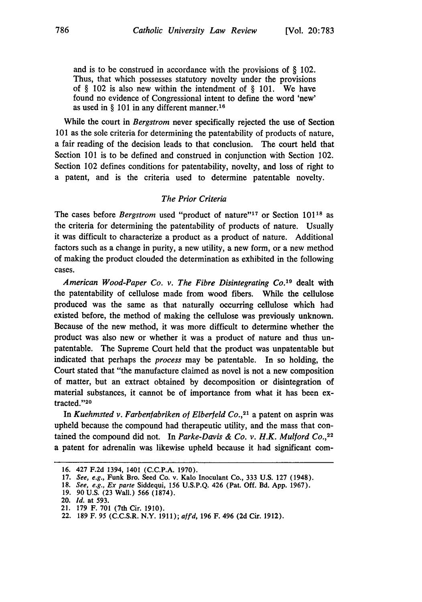and is to be construed in accordance with the provisions of § 102. Thus, that which possesses statutory novelty under the provisions **of** § 102 is also new within the intendment of § 101. We have found no evidence of Congressional intent to define the word 'new' as used in  $\S$  101 in any different manner.<sup>16</sup>

While the court in *Bergstrom* never specifically rejected the use of Section 101 as the sole criteria for determining the patentability of products of nature, a fair reading of the decision leads to that conclusion. The court held that Section 101 is to be defined and construed in conjunction with Section 102. Section 102 defines conditions for patentability, novelty, and loss of right to a patent, and is the criteria used to determine patentable novelty.

### *The Prior Criteria*

The cases before *Bergstrom* used "product of nature"<sup>17</sup> or Section 101<sup>18</sup> as the criteria for determining the patentability of products of nature. Usually it was difficult to characterize a product as a product of nature. Additional factors such as a change in purity, a new utility, a new form, or a new method of making the product clouded the determination as exhibited in the following cases.

*American Wood-Paper Co. v. The Fibre Disintegrating Co.'0* dealt with the patentability of cellulose made from wood fibers. While the cellulose produced was the same as that naturally occurring cellulose which had existed before, the method of making the cellulose was previously unknown. Because of the new method, it was more difficult to determine whether the product was also new or whether it was a product of nature and thus unpatentable. The Supreme Court held that the product was unpatentable but indicated that perhaps the *process* may be patentable. In so holding, the Court stated that "the manufacture claimed as novel is not a new composition of matter, but an extract obtained by decomposition or disintegration of material substances, it cannot be of importance from what it has been extracted."<sup>20</sup>

In *Kuehmsted v. Farbenfabriken of Elberfeld Co.*<sup>21</sup> a patent on asprin was upheld because the compound had therapeutic utility, and the mass that contained the compound did not. In *Parke-Davis & Co. v. H.K. Mulford Co., <sup>22</sup>* a patent for adrenalin was likewise upheld because it **had** significant com-

**<sup>16. 427</sup> F.2d 1394, 1401 (C.C.P.A. 1970).**

<sup>17.</sup> See, e.g., Funk Bro. Seed Co. v. Kalo Inoculant Co., 333 U.S. 127 (1948). 18. See, e.g., Ex parte Siddequi, 156 U.S.P.Q. 426 (Pat. Off. Bd. App. 1967).

**<sup>19. 90</sup> U.S. (23** Wall.) **566 (1874).**

<sup>20.</sup> *Id.* **at 593.**

<sup>21.</sup> **179** F. **701 (7th Cir. 1910).**

**<sup>22. 189</sup> F. 95 (C.C.S.R. N.Y. 1911);** *affd,* **196 F. 496 (2d Cir. 1912).**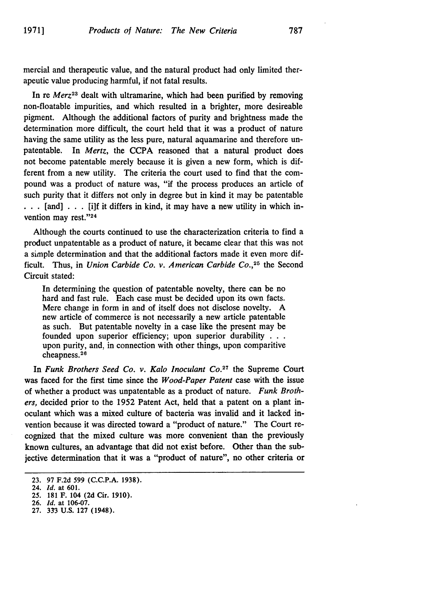mercial and therapeutic value, and the natural product had only limited therapeutic value producing harmful, if not fatal results.

In re *Merz*<sup>23</sup> dealt with ultramarine, which had been purified by removing non-floatable impurities, and which resulted in a brighter, more desireable pigment. Although the additional factors of purity and brightness made the determination more difficult, the court held that it was a product of nature having the same utility as the less pure, natural aquamarine and therefore unpatentable. In *Mertz,* the CCPA reasoned that a natural product does not become patentable merely because it is given a new form, which is different from a new utility. The criteria the court used to find that the compound was a product of nature was, "if the process produces an article of such purity that it differs not only in degree but in kind it may be patentable **...** [and] .. **.**[i]f it differs in kind, it may have a new utility in which invention may rest."24

Although the courts continued to use the characterization criteria to find a product unpatentable as a product of nature, it became clear that this was not a simple determination and that the additional factors made it even more difficult. Thus, in *Union Carbide Co. v. American Carbide Co.,25* the Second Circuit stated:

In determining the question of patentable novelty, there can be no hard and fast rule. Each case must be decided upon its own facts. Mere change in form in and of itself does not disclose novelty. A new article of commerce is not necessarily a new article patentable as such. But patentable novelty in a case like the present may be founded upon superior efficiency; upon superior durability **...** upon purity, and, in connection with other things, upon comparitive cheapness.<sup>26</sup>

In *Funk Brothers Seed Co. v. Kalo Inoculant Co.*<sup>27</sup> the Supreme Court was faced for the first time since the *Wood-Paper Patent* case with the issue of whether a product was unpatentable as a product of nature. *Funk Brothers,* decided prior to the 1952 Patent Act, held that a patent on a plant inoculant which was a mixed culture of bacteria was invalid and it lacked invention because it was directed toward a "product of nature." The Court recognized that the mixed culture was more convenient than the previously known cultures, an advantage that did not exist before. Other than the subjective determination that it was a "product of nature", no other criteria or

<sup>23. 97</sup> F.2d **599 (C.C.P.A. 1938).**

<sup>24.</sup> *Id.* at **601.**

**<sup>25.</sup>** 181 F. 104 **(2d** Cir. **1910).**

<sup>26.</sup> *id.* at **106-07.**

<sup>27. 333</sup> U.S. 127 (1948).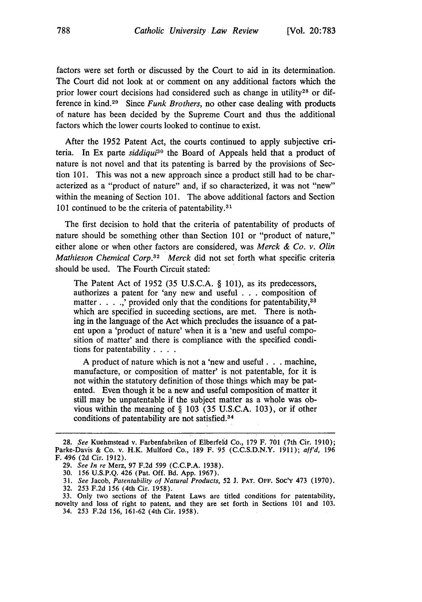factors were set forth or discussed **by** the Court to aid in its determination. The Court did not look at or comment on any additional factors which the prior lower court decisions had considered such as change in utility<sup>28</sup> or difference in kind. 29 Since *Funk Brothers,* no other case dealing with products of nature has been decided by the Supreme Court and thus the additional factors which the lower courts looked to continue to exist.

After the 1952 Patent Act, the courts continued to apply subjective criteria. In Ex parte *siddiqui30* the Board of Appeals held that a product of nature is not novel and that its patenting is barred by the provisions of Section 101. This was not a new approach since a product still had to be characterized as a "product of nature" and, if so characterized, it was not "new" within the meaning of Section 101. The above additional factors and Section 101 continued to be the criteria of patentability.<sup>31</sup>

The first decision to hold that the criteria of patentability of products of nature should be something other than Section 101 or "product of nature," either alone or when other factors are considered, was *Merck & Co. v. Olin Mathieson Chemical Corp.32 Merck* did not set forth what specific criteria should be used. The Fourth Circuit stated:

The Patent Act of 1952 (35 U.S.C.A. § 101), as its predecessors, authorizes a patent for 'any new and useful . . . composition of matter . . . .,' provided only that the conditions for patentability,<sup>33</sup> which are specified in suceeding sections, are met. There is nothing in the language of the Act which precludes the issuance of a patent upon a 'product of nature' when it is a 'new and useful composition of matter' and there is compliance with the specified conditions for patentability **....**

A product of nature which is not a 'new and useful. **. .** machine, manufacture, or composition of matter' is not patentable, for it is not within the statutory definition of those things which may be patented. Even though it be a new and useful composition of matter it still may be unpatentable if the subject matter as a whole was obvious within the meaning of § 103 (35 U.S.C.A. 103), or if other conditions of patentability are not satisfied.<sup>34</sup>

**<sup>28.</sup>** *See* Kuehmstead v. Farbenfabriken of Elberfeld Co., **179 F. 701 (7th Cir. 1910); Parke-Davis & Co. v. H.K. Mulford Co., 189 F.** 95 **(C.C.S.D.N.Y. 1911);** *a!I'd,* **196 F. 496 (2d Cir. 1912).**

**<sup>29.</sup>** *See In re* **Merz, 97 F.2d 599 (C.C.P.A. 1938).**

**<sup>30. 156</sup> U.S.P.Q. 426 (Pat. Off. Bd. App. 1967).**

**<sup>31.</sup>** *See* Jacob, *Patentability of Natural Products,* **52 J. PAT.** OFF. **Soc'Y 473 (1970).**

**<sup>32. 253</sup> F.2d 156** (4th Cir. **1958).**

**<sup>33.</sup>** Only two sections of the Patent Laws are titled conditions for patentability, novelty and loss of right to patent, and they are set forth in Sections **101** and **103.** 34. **253 F.2d 156, 161-62** (4th Cir. **1958).**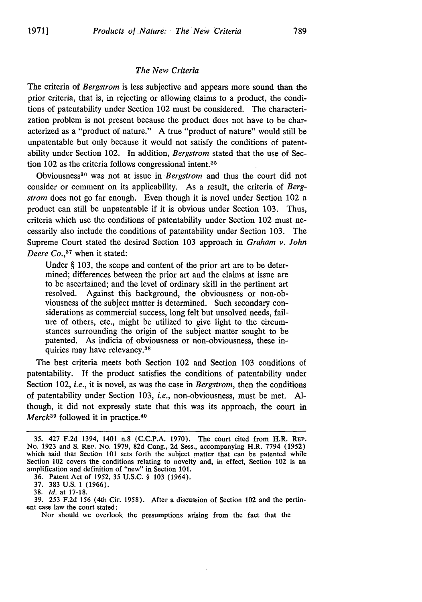#### *The New Criteria*

The criteria of *Bergstrom* is less subjective and appears more sound than the prior criteria, that is, in rejecting or allowing claims to a product, the conditions of patentability under Section 102 must be considered. The characterization problem is not present because the product does not have to be characterized as a "product of nature." A true "product of nature" would still be unpatentable but only because it would not satisfy the conditions of patentability under Section 102. In addition, *Bergstrom* stated that the use of Section 102 as the criteria follows congressional intent.<sup>35</sup>

Obviousness<sup>36</sup> was not at issue in *Bergstrom* and thus the court did not consider or comment on its applicability. As a result, the criteria of *Bergstrom* does not go far enough. Even though it is novel under Section 102 a product can still be unpatentable if it is obvious under Section 103. Thus, criteria which use the conditions of patentability under Section 102 must necessarily also include the conditions of patentability under Section 103. The Supreme Court stated the desired Section 103 approach in *Graham v. John Deere Co.*,<sup>37</sup> when it stated:

Under § 103, the scope and content of the prior art are to be determined; differences between the prior art and the claims at issue are to be ascertained; and the level of ordinary skill in the pertinent art resolved. Against this background, the obviousness or non-obviousness of the subject matter is determined. Such secondary considerations as commercial success, long felt but unsolved needs, failure of others, etc., might be utilized to give light to the circumstances surrounding the origin of the subject matter sought to be patented. As indicia of obviousness or non-obviousness, these inquiries may have relevancy.<sup>38</sup>

The best criteria meets both Section 102 and Section 103 conditions of patentability. **If** the product satisfies the conditions of patentability under Section 102, *i.e.,* it is novel, as was the case in *Bergstrom,* then the conditions of patentability under Section 103, *i.e.,* non-obviousness, must be met. Although, it did not expressly state that this was its approach, the court in *Merck*<sup>39</sup> followed it in practice.<sup>40</sup>

<sup>35. 427</sup> F.2d 1394, 1401 n.8 (C.C.P.A. 1970). The court cited from H.R. REP. No. 1923 and S. REP. No. 1979, 82d Cong., 2d Sess., accompanying H.R. 7794 (1952) which said that Section **101** sets forth the subject matter that can be patented while Section 102 covers the conditions relating to novelty and, in effect, Section 102 is an amplification and definition of "new" in Section 101.

<sup>36.</sup> Patent Act of 1952, 35 U.S.C. § 103 (1964).

<sup>37. 383</sup> U.S. 1 (1966).

<sup>38.</sup> *Id.* at 17-18.

**<sup>39.</sup>** 253 F.2d **156** (4th Cir. 1958). After a discussion of Section 102 and the pertinent case law the court stated:

Nor should we overlook the presumptions arising from the fact that the